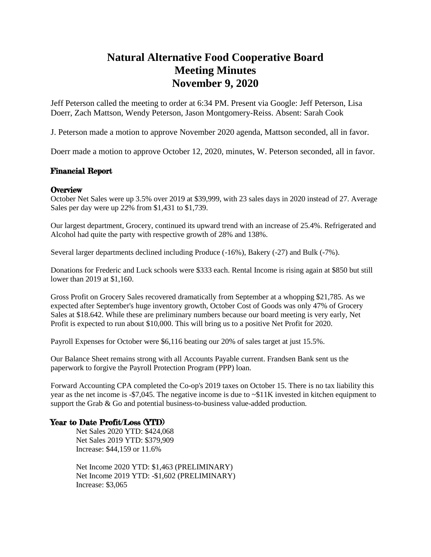# **Natural Alternative Food Cooperative Board Meeting Minutes November 9, 2020**

Jeff Peterson called the meeting to order at 6:34 PM. Present via Google: Jeff Peterson, Lisa Doerr, Zach Mattson, Wendy Peterson, Jason Montgomery-Reiss. Absent: Sarah Cook

J. Peterson made a motion to approve November 2020 agenda, Mattson seconded, all in favor.

Doerr made a motion to approve October 12, 2020, minutes, W. Peterson seconded, all in favor.

## Financial Report

## **Overview**

October Net Sales were up 3.5% over 2019 at \$39,999, with 23 sales days in 2020 instead of 27. Average Sales per day were up 22% from \$1,431 to \$1,739.

Our largest department, Grocery, continued its upward trend with an increase of 25.4%. Refrigerated and Alcohol had quite the party with respective growth of 28% and 138%.

Several larger departments declined including Produce (-16%), Bakery (-27) and Bulk (-7%).

Donations for Frederic and Luck schools were \$333 each. Rental Income is rising again at \$850 but still lower than 2019 at \$1,160.

Gross Profit on Grocery Sales recovered dramatically from September at a whopping \$21,785. As we expected after September's huge inventory growth, October Cost of Goods was only 47% of Grocery Sales at \$18.642. While these are preliminary numbers because our board meeting is very early, Net Profit is expected to run about \$10,000. This will bring us to a positive Net Profit for 2020.

Payroll Expenses for October were \$6,116 beating our 20% of sales target at just 15.5%.

Our Balance Sheet remains strong with all Accounts Payable current. Frandsen Bank sent us the paperwork to forgive the Payroll Protection Program (PPP) loan.

Forward Accounting CPA completed the Co-op's 2019 taxes on October 15. There is no tax liability this year as the net income is -\$7,045. The negative income is due to ~\$11K invested in kitchen equipment to support the Grab & Go and potential business-to-business value-added production.

## Year to Date Profit/Loss (YTD)

Net Sales 2020 YTD: \$424,068 Net Sales 2019 YTD: \$379,909 Increase: \$44,159 or 11.6%

Net Income 2020 YTD: \$1,463 (PRELIMINARY) Net Income 2019 YTD: -\$1,602 (PRELIMINARY) Increase: \$3,065